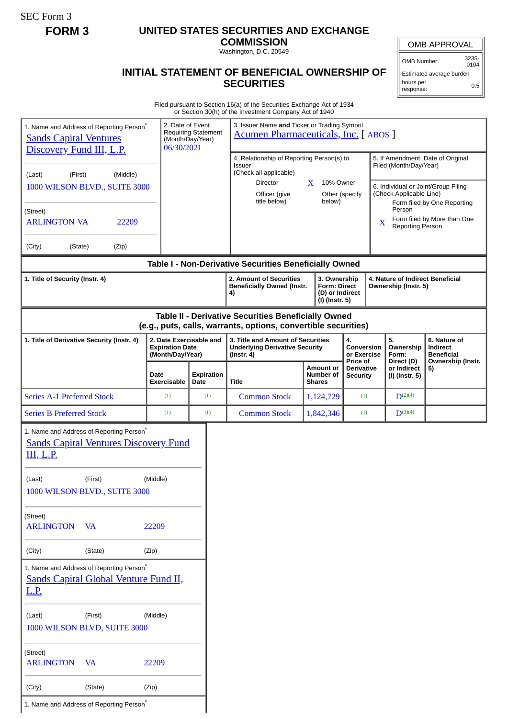SEC Form 3

## **FORM 3 UNITED STATES SECURITIES AND EXCHANGE**

**COMMISSION** Washington, D.C. 20549

OMB APPROVAL

OMB Number: 3235- 0104

## **INITIAL STATEMENT OF BENEFICIAL OWNERSHIP OF SECURITIES**

Estimated average burden hours per response: 0.5

Filed pursuant to Section 16(a) of the Securities Exchange Act of 1934 or Section 30(h) of the Investment Company Act of 1940

| 1. Name and Address of Reporting Person*<br><b>Sands Capital Ventures</b><br>Discovery Fund III, L.P.<br>(Middle)<br>(First)<br>(Last)<br>1000 WILSON BLVD., SUITE 3000<br>(Street)<br><b>ARLINGTON VA</b><br>22209 | 2. Date of Event<br>06/30/2021                                        | <b>Requiring Statement</b><br>(Month/Day/Year) | or Section So(ii) or the investment Company Act or 1940<br>3. Issuer Name and Ticker or Trading Symbol<br><b>Acumen Pharmaceuticals, Inc.</b> [ABOS ]<br>4. Relationship of Reporting Person(s) to<br><b>Issuer</b><br>(Check all applicable)<br>Director<br>Officer (give<br>title below) | X | 10% Owner<br>Other (specify<br>below)                                    |                                                  | X                        | Filed (Month/Day/Year)<br>(Check Applicable Line)<br>Person<br><b>Reporting Person</b> | 5. If Amendment, Date of Original<br>6. Individual or Joint/Group Filing<br>Form filed by One Reporting<br>Form filed by More than One |  |
|---------------------------------------------------------------------------------------------------------------------------------------------------------------------------------------------------------------------|-----------------------------------------------------------------------|------------------------------------------------|--------------------------------------------------------------------------------------------------------------------------------------------------------------------------------------------------------------------------------------------------------------------------------------------|---|--------------------------------------------------------------------------|--------------------------------------------------|--------------------------|----------------------------------------------------------------------------------------|----------------------------------------------------------------------------------------------------------------------------------------|--|
| (City)<br>(State)<br>(Zip)                                                                                                                                                                                          |                                                                       |                                                | Table I - Non-Derivative Securities Beneficially Owned                                                                                                                                                                                                                                     |   |                                                                          |                                                  |                          |                                                                                        |                                                                                                                                        |  |
| 1. Title of Security (Instr. 4)                                                                                                                                                                                     |                                                                       |                                                | 2. Amount of Securities<br><b>Beneficially Owned (Instr.</b><br>4)                                                                                                                                                                                                                         |   | 3. Ownership<br><b>Form: Direct</b><br>(D) or Indirect<br>(I) (Instr. 5) |                                                  |                          | 4. Nature of Indirect Beneficial<br>Ownership (Instr. 5)                               |                                                                                                                                        |  |
| Table II - Derivative Securities Beneficially Owned<br>(e.g., puts, calls, warrants, options, convertible securities)                                                                                               |                                                                       |                                                |                                                                                                                                                                                                                                                                                            |   |                                                                          |                                                  |                          |                                                                                        |                                                                                                                                        |  |
| 1. Title of Derivative Security (Instr. 4)                                                                                                                                                                          | 2. Date Exercisable and<br><b>Expiration Date</b><br>(Month/Day/Year) |                                                | 3. Title and Amount of Securities<br><b>Underlying Derivative Security</b><br>(Instr. 4)                                                                                                                                                                                                   |   | 4.<br>Conversion<br>or Exercise                                          |                                                  | 5.<br>Ownership<br>Form: | 6. Nature of<br>Indirect<br><b>Beneficial</b>                                          |                                                                                                                                        |  |
|                                                                                                                                                                                                                     | Date<br>Exercisable                                                   | <b>Expiration</b><br>Date                      | <b>Title</b>                                                                                                                                                                                                                                                                               |   | <b>Amount or</b><br>Number of<br><b>Shares</b>                           | Price of<br><b>Derivative</b><br><b>Security</b> |                          | Direct (D)<br>or Indirect<br>(I) (Instr. 5)                                            | Ownership (Instr.<br>5)                                                                                                                |  |
| <b>Series A-1 Preferred Stock</b>                                                                                                                                                                                   | (1)                                                                   | (1)                                            | <b>Common Stock</b>                                                                                                                                                                                                                                                                        |   | 1,124,729                                                                | (1)                                              |                          | $D^{(2)(4)}$                                                                           |                                                                                                                                        |  |
| <b>Series B Preferred Stock</b>                                                                                                                                                                                     | (1)                                                                   | (1)                                            | <b>Common Stock</b>                                                                                                                                                                                                                                                                        |   | 1,842,346                                                                | (1)                                              |                          | $D^{(3)(4)}$                                                                           |                                                                                                                                        |  |
| 1. Name and Address of Reporting Person*<br><b>Sands Capital Ventures Discovery Fund</b><br><b>III, L.P.</b><br>(First)<br>(Last)<br>1000 WILSON BLVD., SUITE 3000                                                  | (Middle)                                                              |                                                |                                                                                                                                                                                                                                                                                            |   |                                                                          |                                                  |                          |                                                                                        |                                                                                                                                        |  |
| (Street)<br><b>ARLINGTON</b><br><b>VA</b>                                                                                                                                                                           | 22209                                                                 |                                                |                                                                                                                                                                                                                                                                                            |   |                                                                          |                                                  |                          |                                                                                        |                                                                                                                                        |  |
| (City)<br>(State)                                                                                                                                                                                                   | (Zip)                                                                 |                                                |                                                                                                                                                                                                                                                                                            |   |                                                                          |                                                  |                          |                                                                                        |                                                                                                                                        |  |
| 1. Name and Address of Reporting Person <sup>*</sup><br><b>Sands Capital Global Venture Fund II,</b><br><u>L.P.</u>                                                                                                 |                                                                       |                                                |                                                                                                                                                                                                                                                                                            |   |                                                                          |                                                  |                          |                                                                                        |                                                                                                                                        |  |
| (First)<br>(Middle)<br>(Last)<br>1000 WILSON BLVD, SUITE 3000                                                                                                                                                       |                                                                       |                                                |                                                                                                                                                                                                                                                                                            |   |                                                                          |                                                  |                          |                                                                                        |                                                                                                                                        |  |
| (Street)<br><b>ARLINGTON</b><br><b>VA</b>                                                                                                                                                                           | 22209                                                                 |                                                |                                                                                                                                                                                                                                                                                            |   |                                                                          |                                                  |                          |                                                                                        |                                                                                                                                        |  |
| (City)<br>(State)                                                                                                                                                                                                   | (Zip)                                                                 |                                                |                                                                                                                                                                                                                                                                                            |   |                                                                          |                                                  |                          |                                                                                        |                                                                                                                                        |  |

I

1. Name and Address of Reporting Person\*